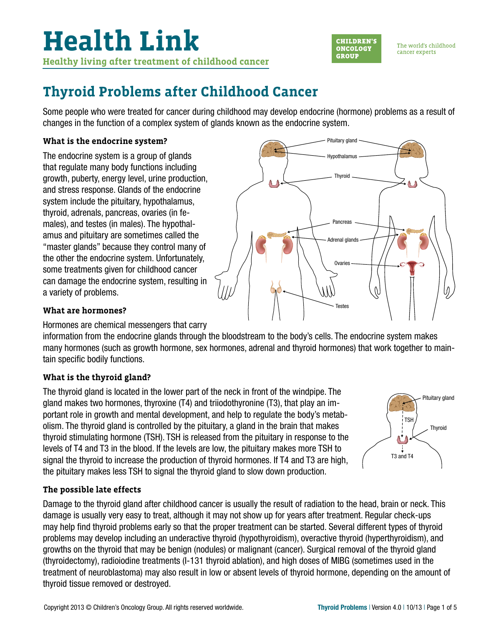

The world's childhood cancer experts

### **Thyroid Problems after Childhood Cancer**

Some people who were treated for cancer during childhood may develop endocrine (hormone) problems as a result of changes in the function of a complex system of glands known as the endocrine system.

### **What is the endocrine system?**

The endocrine system is a group of glands that regulate many body functions including growth, puberty, energy level, urine production, and stress response. Glands of the endocrine system include the pituitary, hypothalamus, thyroid, adrenals, pancreas, ovaries (in females), and testes (in males). The hypothalamus and pituitary are sometimes called the "master glands" because they control many of the other the endocrine system. Unfortunately, some treatments given for childhood cancer can damage the endocrine system, resulting in a variety of problems.



### **What are hormones?**

Hormones are chemical messengers that carry

information from the endocrine glands through the bloodstream to the body's cells. The endocrine system makes many hormones (such as growth hormone, sex hormones, adrenal and thyroid hormones) that work together to maintain specific bodily functions.

### **What is the thyroid gland?**

The thyroid gland is located in the lower part of the neck in front of the windpipe. The gland makes two hormones, thyroxine (T4) and triiodothyronine (T3), that play an important role in growth and mental development, and help to regulate the body's metabolism. The thyroid gland is controlled by the pituitary, a gland in the brain that makes thyroid stimulating hormone (TSH). TSH is released from the pituitary in response to the levels of T4 and T3 in the blood. If the levels are low, the pituitary makes more TSH to signal the thyroid to increase the production of thyroid hormones. If T4 and T3 are high, the pituitary makes less TSH to signal the thyroid gland to slow down production.



### **The possible late effects**

Damage to the thyroid gland after childhood cancer is usually the result of radiation to the head, brain or neck. This damage is usually very easy to treat, although it may not show up for years after treatment. Regular check-ups may help find thyroid problems early so that the proper treatment can be started. Several different types of thyroid problems may develop including an underactive thyroid (hypothyroidism), overactive thyroid (hyperthyroidism), and growths on the thyroid that may be benign (nodules) or malignant (cancer). Surgical removal of the thyroid gland (thyroidectomy), radioiodine treatments (I-131 thyroid ablation), and high doses of MIBG (sometimes used in the treatment of neuroblastoma) may also result in low or absent levels of thyroid hormone, depending on the amount of thyroid tissue removed or destroyed.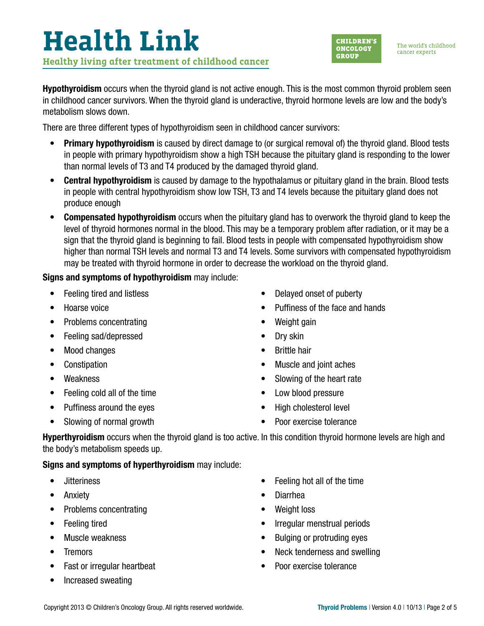The world's childhood cancer experts

**Hypothyroidism** occurs when the thyroid gland is not active enough. This is the most common thyroid problem seen in childhood cancer survivors. When the thyroid gland is underactive, thyroid hormone levels are low and the body's metabolism slows down.

There are three different types of hypothyroidism seen in childhood cancer survivors:

- Primary hypothyroidism is caused by direct damage to (or surgical removal of) the thyroid gland. Blood tests in people with primary hypothyroidism show a high TSH because the pituitary gland is responding to the lower than normal levels of T3 and T4 produced by the damaged thyroid gland.
- Central hypothyroidism is caused by damage to the hypothalamus or pituitary gland in the brain. Blood tests in people with central hypothyroidism show low TSH, T3 and T4 levels because the pituitary gland does not produce enough
- Compensated hypothyroidism occurs when the pituitary gland has to overwork the thyroid gland to keep the level of thyroid hormones normal in the blood. This may be a temporary problem after radiation, or it may be a sign that the thyroid gland is beginning to fail. Blood tests in people with compensated hypothyroidism show higher than normal TSH levels and normal T3 and T4 levels. Some survivors with compensated hypothyroidism may be treated with thyroid hormone in order to decrease the workload on the thyroid gland.

### Signs and symptoms of hypothyroidism may include:

- Feeling tired and listless
- Hoarse voice
- Problems concentrating
- Feeling sad/depressed
- Mood changes
- Constipation
- Weakness
- Feeling cold all of the time
- Puffiness around the eyes • Slowing of normal growth
	-
- Low blood pressure
- 
- Poor exercise tolerance

Hyperthyroidism occurs when the thyroid gland is too active. In this condition thyroid hormone levels are high and the body's metabolism speeds up.

Signs and symptoms of hyperthyroidism may include:

- Jitteriness
- Anxiety
- Problems concentrating
- Feeling tired
- Muscle weakness
- Tremors
- Fast or irregular heartbeat
- Increased sweating
- Feeling hot all of the time
- Diarrhea
- Weight loss
- Irregular menstrual periods
- Bulging or protruding eyes
- Neck tenderness and swelling
- Poor exercise tolerance

### • Delayed onset of puberty

- Puffiness of the face and hands
- Weight gain
- Dry skin
- Brittle hair
- Muscle and joint aches
- Slowing of the heart rate
- High cholesterol level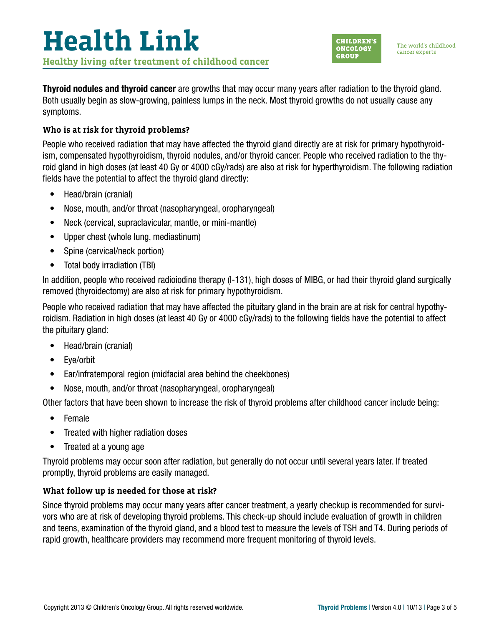

The world's childhood cancer experts

Thyroid nodules and thyroid cancer are growths that may occur many years after radiation to the thyroid gland. Both usually begin as slow-growing, painless lumps in the neck. Most thyroid growths do not usually cause any symptoms.

### **Who is at risk for thyroid problems?**

People who received radiation that may have affected the thyroid gland directly are at risk for primary hypothyroidism, compensated hypothyroidism, thyroid nodules, and/or thyroid cancer. People who received radiation to the thyroid gland in high doses (at least 40 Gy or 4000 cGy/rads) are also at risk for hyperthyroidism. The following radiation fields have the potential to affect the thyroid gland directly:

- Head/brain (cranial)
- Nose, mouth, and/or throat (nasopharyngeal, oropharyngeal)
- Neck (cervical, supraclavicular, mantle, or mini-mantle)
- Upper chest (whole lung, mediastinum)
- Spine (cervical/neck portion)
- Total body irradiation (TBI)

In addition, people who received radioiodine therapy (I-131), high doses of MIBG, or had their thyroid gland surgically removed (thyroidectomy) are also at risk for primary hypothyroidism.

People who received radiation that may have affected the pituitary gland in the brain are at risk for central hypothyroidism. Radiation in high doses (at least 40 Gy or 4000 cGy/rads) to the following fields have the potential to affect the pituitary gland:

- Head/brain (cranial)
- Eye/orbit
- Ear/infratemporal region (midfacial area behind the cheekbones)
- Nose, mouth, and/or throat (nasopharyngeal, oropharyngeal)

Other factors that have been shown to increase the risk of thyroid problems after childhood cancer include being:

- Female
- Treated with higher radiation doses
- Treated at a young age

Thyroid problems may occur soon after radiation, but generally do not occur until several years later. If treated promptly, thyroid problems are easily managed.

#### **What follow up is needed for those at risk?**

Since thyroid problems may occur many years after cancer treatment, a yearly checkup is recommended for survivors who are at risk of developing thyroid problems. This check-up should include evaluation of growth in children and teens, examination of the thyroid gland, and a blood test to measure the levels of TSH and T4. During periods of rapid growth, healthcare providers may recommend more frequent monitoring of thyroid levels.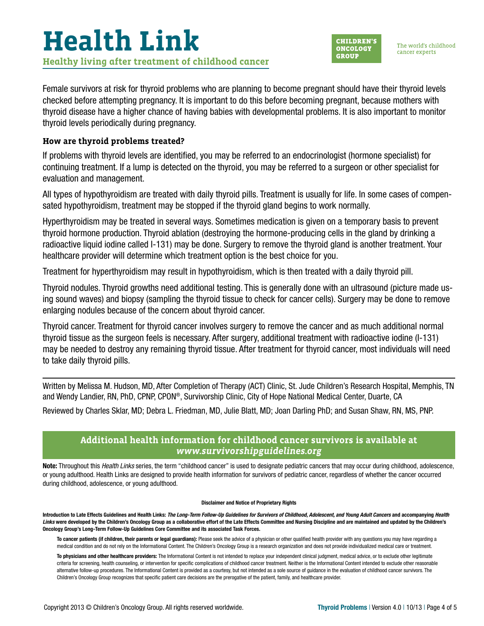

Female survivors at risk for thyroid problems who are planning to become pregnant should have their thyroid levels checked before attempting pregnancy. It is important to do this before becoming pregnant, because mothers with thyroid disease have a higher chance of having babies with developmental problems. It is also important to monitor thyroid levels periodically during pregnancy.

#### **How are thyroid problems treated?**

If problems with thyroid levels are identified, you may be referred to an endocrinologist (hormone specialist) for continuing treatment. If a lump is detected on the thyroid, you may be referred to a surgeon or other specialist for evaluation and management.

All types of hypothyroidism are treated with daily thyroid pills. Treatment is usually for life. In some cases of compensated hypothyroidism, treatment may be stopped if the thyroid gland begins to work normally.

Hyperthyroidism may be treated in several ways. Sometimes medication is given on a temporary basis to prevent thyroid hormone production. Thyroid ablation (destroying the hormone-producing cells in the gland by drinking a radioactive liquid iodine called I-131) may be done. Surgery to remove the thyroid gland is another treatment. Your healthcare provider will determine which treatment option is the best choice for you.

Treatment for hyperthyroidism may result in hypothyroidism, which is then treated with a daily thyroid pill.

Thyroid nodules. Thyroid growths need additional testing. This is generally done with an ultrasound (picture made using sound waves) and biopsy (sampling the thyroid tissue to check for cancer cells). Surgery may be done to remove enlarging nodules because of the concern about thyroid cancer.

Thyroid cancer. Treatment for thyroid cancer involves surgery to remove the cancer and as much additional normal thyroid tissue as the surgeon feels is necessary. After surgery, additional treatment with radioactive iodine (I-131) may be needed to destroy any remaining thyroid tissue. After treatment for thyroid cancer, most individuals will need to take daily thyroid pills.

Written by Melissa M. Hudson, MD, After Completion of Therapy (ACT) Clinic, St. Jude Children's Research Hospital, Memphis, TN and Wendy Landier, RN, PhD, CPNP, CPON®, Survivorship Clinic, City of Hope National Medical Center, Duarte, CA

Reviewed by Charles Sklar, MD; Debra L. Friedman, MD, Julie Blatt, MD; Joan Darling PhD; and Susan Shaw, RN, MS, PNP.

#### **Additional health information for childhood cancer survivors is available at**  *[www.survivorshipguidelines.org](http://www.survivorshipguidelines.org)*

Note: Throughout this *Health Links* series, the term "childhood cancer" is used to designate pediatric cancers that may occur during childhood, adolescence, or young adulthood. Health Links are designed to provide health information for survivors of pediatric cancer, regardless of whether the cancer occurred during childhood, adolescence, or young adulthood.

#### Disclaimer and Notice of Proprietary Rights

Introduction to Late Effects Guidelines and Health Links: *The Long-Term Follow-Up Guidelines for Survivors of Childhood, Adolescent, and Young Adult Cancers* and accompanying *Health*  Links were developed by the Children's Oncology Group as a collaborative effort of the Late Effects Committee and Nursing Discipline and are maintained and updated by the Children's Oncology Group's Long-Term Follow-Up Guidelines Core Committee and its associated Task Forces.

To cancer patients (if children, their parents or legal guardians): Please seek the advice of a physician or other qualified health provider with any questions you may have regarding a medical condition and do not rely on the Informational Content. The Children's Oncology Group is a research organization and does not provide individualized medical care or treatment.

To physicians and other healthcare providers: The Informational Content is not intended to replace your independent clinical judgment, medical advice, or to exclude other legitimate criteria for screening, health counseling, or intervention for specific complications of childhood cancer treatment. Neither is the Informational Content intended to exclude other reasonable alternative follow-up procedures. The Informational Content is provided as a courtesy, but not intended as a sole source of guidance in the evaluation of childhood cancer survivors. The Children's Oncology Group recognizes that specific patient care decisions are the prerogative of the patient, family, and healthcare provider.